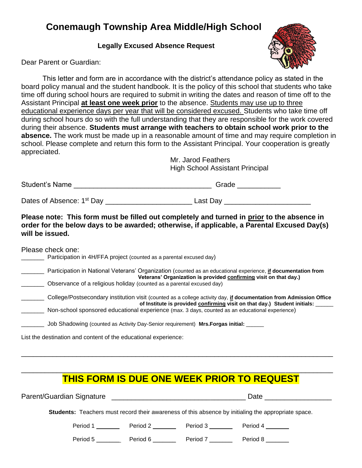## **Conemaugh Township Area Middle/High School**

 **Legally Excused Absence Request**



Dear Parent or Guardian:

This letter and form are in accordance with the district's attendance policy as stated in the board policy manual and the student handbook. It is the policy of this school that students who take time off during school hours are required to submit in writing the dates and reason of time off to the Assistant Principal **at least one week prior** to the absence. Students may use up to three educational experience days per year that will be considered excused. Students who take time off during school hours do so with the full understanding that they are responsible for the work covered during their absence. **Students must arrange with teachers to obtain school work prior to the absence.** The work must be made up in a reasonable amount of time and may require completion in school. Please complete and return this form to the Assistant Principal. Your cooperation is greatly appreciated.

Mr. Jarod Feathers High School Assistant Principal

| Student's Name | $\sim$ |  |
|----------------|--------|--|
|                |        |  |

Dates of Absence: 1 st Day \_\_\_\_\_\_\_\_\_\_\_\_\_\_\_\_\_\_\_\_\_\_ Last Day \_\_\_\_\_\_\_\_\_\_\_\_\_\_\_\_\_\_\_\_\_\_

**Please note: This form must be filled out completely and turned in prior to the absence in order for the below days to be awarded; otherwise, if applicable, a Parental Excused Day(s) will be issued.** 

Please check one:

| Participation in 4H/FFA project (counted as a parental excused day) |  |
|---------------------------------------------------------------------|--|
|---------------------------------------------------------------------|--|

| Participation in National Veterans' Organization (counted as an educational experience, if documentation from |  |  |
|---------------------------------------------------------------------------------------------------------------|--|--|
| Veterans' Organization is provided confirming visit on that day.)                                             |  |  |
| Observance of a religious holiday (counted as a parental excused day)                                         |  |  |

| College/Postsecondary institution visit (counted as a college activity day, if documentation from Admission Office |
|--------------------------------------------------------------------------------------------------------------------|
| of Institute is provided confirming visit on that day.) Student initials:                                          |
| Non-school sponsored educational experience (max, 3 days, counted as an educational experience)                    |

\_\_\_\_\_\_\_ Job Shadowing (counted as Activity Day-Senior requirement) **Mrs.Forgas initial:** \_\_\_\_\_\_

List the destination and content of the educational experience:

## \_\_\_\_\_\_\_\_\_\_\_\_\_\_\_\_\_\_\_\_\_\_\_\_\_\_\_\_\_\_\_\_\_\_\_\_\_\_\_\_\_\_\_\_\_\_\_\_\_\_\_\_\_\_\_\_\_\_\_\_\_\_\_\_\_\_\_\_\_\_\_\_\_\_\_\_\_\_\_ **THIS FORM IS DUE ONE WEEK PRIOR TO REQUEST**

\_\_\_\_\_\_\_\_\_\_\_\_\_\_\_\_\_\_\_\_\_\_\_\_\_\_\_\_\_\_\_\_\_\_\_\_\_\_\_\_\_\_\_\_\_\_\_\_\_\_\_\_\_\_\_\_\_\_\_\_\_\_\_\_\_\_\_\_\_\_\_\_\_\_\_\_\_\_\_

Parent/Guardian Signature **Exercise 2018** Date **Date** 

**Students:** Teachers must record their awareness of this absence by initialing the appropriate space.

Period 1 \_\_\_\_\_\_\_\_ Period 2 \_\_\_\_\_\_\_ Period 3 \_\_\_\_\_\_\_ Period 4 \_\_\_\_\_\_\_

Period 5 **Deriod 6 Period 7 Period 8 Period 8 Period 8 Period 8 Period 8**